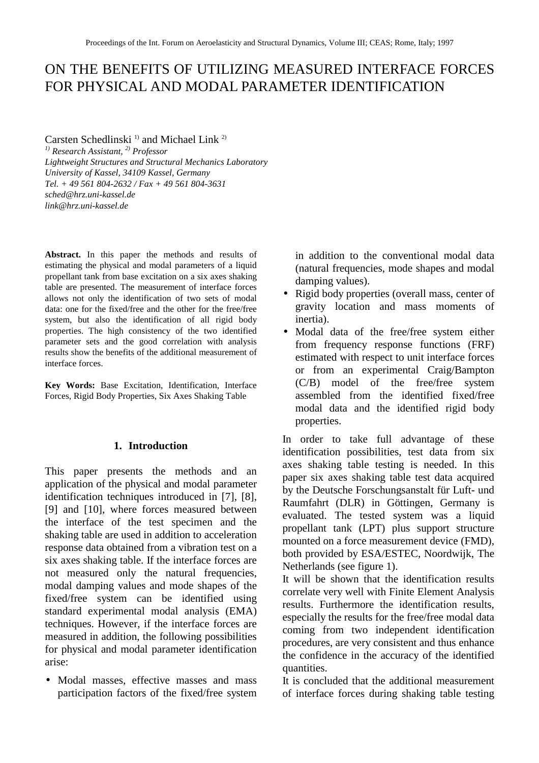# ON THE BENEFITS OF UTILIZING MEASURED INTERFACE FORCES FOR PHYSICAL AND MODAL PARAMETER IDENTIFICATION

Carsten Schedlinski $^{1)}$  and Michael Link  $^{2)}$ 

*1) Research Assistant, 2) Professor Lightweight Structures and Structural Mechanics Laboratory University of Kassel, 34109 Kassel, Germany Tel. + 49 561 804-2632 / Fax + 49 561 804-3631 sched@hrz.uni-kassel.de link@hrz.uni-kassel.de*

Abstract. In this paper the methods and results of estimating the physical and modal parameters of a liquid propellant tank from base excitation on a six axes shaking table are presented. The measurement of interface forces allows not only the identification of two sets of modal data: one for the fixed/free and the other for the free/free system, but also the identification of all rigid body properties. The high consistency of the two identified parameter sets and the good correlation with analysis results show the benefits of the additional measurement of interface forces.

**Key Words:** Base Excitation, Identification, Interface Forces, Rigid Body Properties, Six Axes Shaking Table

## **1. Introduction**

This paper presents the methods and an application of the physical and modal parameter identification techniques introduced in [7], [8], [9] and [10], where forces measured between the interface of the test specimen and the shaking table are used in addition to acceleration response data obtained from a vibration test on a six axes shaking table. If the interface forces are not measured only the natural frequencies, modal damping values and mode shapes of the fixed/free system can be identified using standard experimental modal analysis (EMA) techniques. However, if the interface forces are measured in addition, the following possibilities for physical and modal parameter identification arise:

• Modal masses, effective masses and mass participation factors of the fixed/free system in addition to the conventional modal data (natural frequencies, mode shapes and modal damping values).

- Rigid body properties (overall mass, center of gravity location and mass moments of inertia).
- Modal data of the free/free system either from frequency response functions (FRF) estimated with respect to unit interface forces or from an experimental Craig/Bampton (C/B) model of the free/free system assembled from the identified fixed/free modal data and the identified rigid body properties.

In order to take full advantage of these identification possibilities, test data from six axes shaking table testing is needed. In this paper six axes shaking table test data acquired by the Deutsche Forschungsanstalt für Luft- und Raumfahrt (DLR) in Göttingen, Germany is evaluated. The tested system was a liquid propellant tank (LPT) plus support structure mounted on a force measurement device (FMD), both provided by ESA/ESTEC, Noordwijk, The Netherlands (see figure 1).

It will be shown that the identification results correlate very well with Finite Element Analysis results. Furthermore the identification results, especially the results for the free/free modal data coming from two independent identification procedures, are very consistent and thus enhance the confidence in the accuracy of the identified quantities.

It is concluded that the additional measurement of interface forces during shaking table testing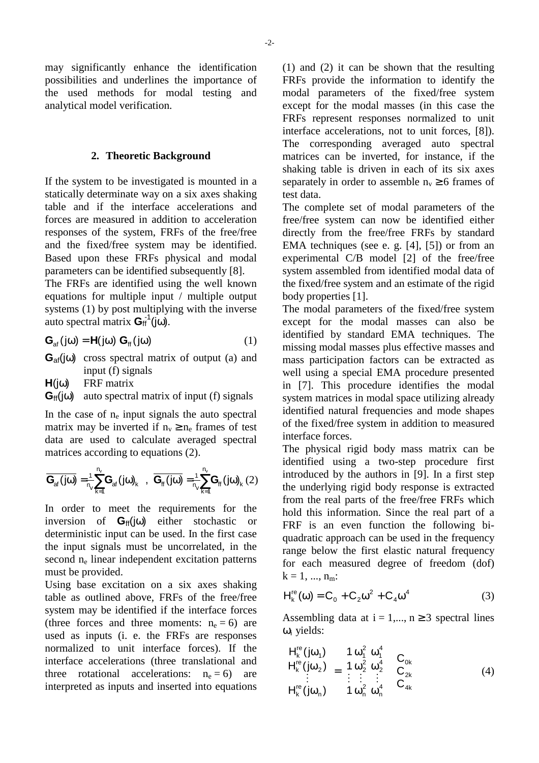may significantly enhance the identification possibilities and underlines the importance of the used methods for modal testing and analytical model verification.

#### **2. Theoretic Background**

If the system to be investigated is mounted in a statically determinate way on a six axes shaking table and if the interface accelerations and forces are measured in addition to acceleration responses of the system, FRFs of the free/free and the fixed/free system may be identified. Based upon these FRFs physical and modal parameters can be identified subsequently [8].

The FRFs are identified using the well known equations for multiple input / multiple output systems (1) by post multiplying with the inverse auto spectral matrix  $G_{\text{ff}}^1(j\omega)$ .

$$
\mathbf{G}_{\mathrm{af}}(j\omega) = \mathbf{H}(j\omega) \mathbf{G}_{\mathrm{ff}}(j\omega)
$$
 (1)

**G**af(jω) cross spectral matrix of output (a) and input (f) signals

**H**(jω) FRF matrix

 $G_{\text{ff}}(j\omega)$  auto spectral matrix of input (f) signals

In the case of  $n_e$  input signals the auto spectral matrix may be inverted if  $n_v \ge n_e$  frames of test data are used to calculate averaged spectral matrices according to equations (2).

$$
\overline{\boldsymbol{G}_{\text{af}}\left(j\omega\right)}=\stackrel{\tau}{\underset{\text{R}}{\vphantom{\tau}}\xrightarrow{\tau}}\sum_{k=1}^{n_{v}}\boldsymbol{G}_{\text{af}}\left(j\omega\right)_{k}\hspace{3mm},\hspace{3mm}\overline{\boldsymbol{G}_{\text{ff}}\left(j\omega\right)}=\stackrel{\tau}{\underset{\text{R}}{\vphantom{\tau}}\xrightarrow{\tau}}\sum_{k=1}^{n_{v}}\boldsymbol{G}_{\text{ff}}\left(j\omega\right)_{k}\left(2\right)
$$

In order to meet the requirements for the inversion of **G**ff(jω) either stochastic or deterministic input can be used. In the first case the input signals must be uncorrelated, in the second n<sub>e</sub> linear independent excitation patterns must be provided.

Using base excitation on a six axes shaking table as outlined above, FRFs of the free/free system may be identified if the interface forces (three forces and three moments:  $n_e = 6$ ) are used as inputs (i. e. the FRFs are responses normalized to unit interface forces). If the interface accelerations (three translational and three rotational accelerations:  $n_e = 6$ ) are interpreted as inputs and inserted into equations

(1) and (2) it can be shown that the resulting FRFs provide the information to identify the modal parameters of the fixed/free system except for the modal masses (in this case the FRFs represent responses normalized to unit interface accelerations, not to unit forces, [8]). The corresponding averaged auto spectral matrices can be inverted, for instance, if the shaking table is driven in each of its six axes separately in order to assemble  $n_v \ge 6$  frames of test data.

The complete set of modal parameters of the free/free system can now be identified either directly from the free/free FRFs by standard EMA techniques (see e. g. [4], [5]) or from an experimental C/B model [2] of the free/free system assembled from identified modal data of the fixed/free system and an estimate of the rigid body properties [1].

The modal parameters of the fixed/free system except for the modal masses can also be identified by standard EMA techniques. The missing modal masses plus effective masses and mass participation factors can be extracted as well using a special EMA procedure presented in [7]. This procedure identifies the modal system matrices in modal space utilizing already identified natural frequencies and mode shapes of the fixed/free system in addition to measured interface forces.

The physical rigid body mass matrix can be identified using a two-step procedure first introduced by the authors in [9]. In a first step the underlying rigid body response is extracted from the real parts of the free/free FRFs which hold this information. Since the real part of a FRF is an even function the following biquadratic approach can be used in the frequency range below the first elastic natural frequency for each measured degree of freedom (dof)  $k = 1, ..., n_m$ :

$$
H_k^{\text{re}}(\omega) = C_0 + C_2 \omega^2 + C_4 \omega^4 \tag{3}
$$

Assembling data at  $i = 1,..., n \ge 3$  spectral lines ωi yields:

$$
\begin{bmatrix}\nH_k^{\text{re}}(j\omega_1) \\
H_k^{\text{re}}(j\omega_2) \\
\vdots \\
H_k^{\text{re}}(j\omega_n)\n\end{bmatrix} =\n\begin{bmatrix}\n1 & \omega_1^2 & \omega_1^4 \\
1 & \omega_2^2 & \omega_2^4 \\
\vdots & \vdots & \vdots \\
1 & \omega_n^2 & \omega_n^4\n\end{bmatrix}\n\begin{bmatrix}\nC_{0k} \\
C_{2k} \\
C_{4k}\n\end{bmatrix}
$$
\n(4)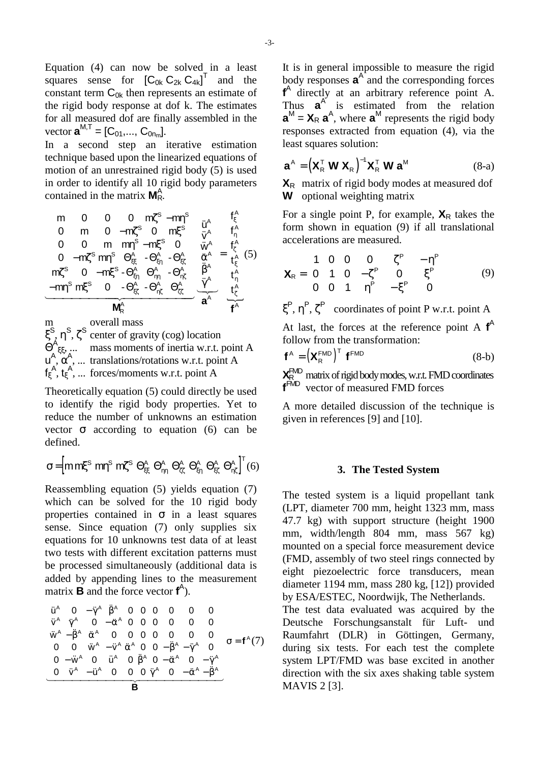Equation (4) can now be solved in a least squares sense for  $[C_{0k} C_{2k} C_{4k}]^T$  and the constant term  $C_{0k}$  then represents an estimate of the rigid body response at dof k. The estimates for all measured dof are finally assembled in the vector  $\mathbf{a}^{M,T} = [C_{01},..., C_{0n_m}].$ 

In a second step an iterative estimation technique based upon the linearized equations of motion of an unrestrained rigid body (5) is used in order to identify all 10 rigid body parameters contained in the matrix **M**<sup>A</sup><sub>R</sub>.

$$
\begin{bmatrix} m & 0 & 0 & 0 & m\zeta^{s} - mm^{s} \\ 0 & m & 0 & -m\zeta^{s} & 0 & m\zeta^{s} \\ 0 & 0 & m & m\eta^{s} - m\zeta^{s} & 0 \\ 0 & -m\zeta^{s} & m\zeta^{s} & \Theta_{\xi\xi}^{A} & -\Theta_{\xi\eta}^{A} & -\Theta_{\xi\xi}^{A} \\ m\zeta^{s} & 0 & -m\zeta^{s} - \Theta_{\xi\eta}^{A} & \Theta_{\eta\eta}^{A} & -\Theta_{\eta\zeta}^{A} & \left[\frac{\partial^{A}}{\partial A}\right] = \begin{bmatrix} f_{\xi}^{A} \\ f_{\eta}^{A} \\ f_{\xi}^{A} \\ f_{\xi}^{A} \\ f_{\eta}^{A} \\ f_{\eta}^{A} \\ f_{\eta}^{A} \end{bmatrix} = \begin{bmatrix} f_{\xi}^{A} \\ f_{\eta}^{A} \\ f_{\xi}^{A} \\ f_{\xi}^{A} \\ f_{\eta}^{A} \\ f_{\eta}^{A} \\ f_{\eta}^{A} \\ f_{\eta}^{A} \end{bmatrix} = \begin{bmatrix} f_{\xi}^{A} \\ f_{\eta}^{A} \\ f_{\eta}^{A} \\ f_{\xi}^{A} \\ f_{\eta}^{A} \\ f_{\eta}^{A} \\ f_{\eta}^{A} \\ f_{\eta}^{A} \end{bmatrix}
$$

m overall mass ξ<sup>S</sup>, η<sup>S</sup>, ζ<sup>S</sup> center of gravity (cog) location  $\Theta^{\mathsf{A}}_{\xi\xi}$ , ... mass moments of inertia w.r.t. point A  $u^{A}$ ,  $\alpha^{A}$ , ... translations/rotations w.r.t. point A  $f_{\xi}^{\mathsf{A}}, t_{\xi}^{\mathsf{A}}, \dots$  forces/moments w.r.t. point A

Theoretically equation (5) could directly be used to identify the rigid body properties. Yet to reduce the number of unknowns an estimation vector  $\sigma$  according to equation (6) can be defined.

$$
\sigma\!=\!\!\left[m\,m\!\xi^S\;m\eta^S\;m\!\zeta^S\;\Theta^A_{\xi\xi}\;\Theta^A_{\eta\eta}\;\Theta^A_{\zeta\zeta}\;\Theta^A_{\xi\eta}\;\Theta^A_{\xi\zeta}\;\Theta^A_{\eta\zeta}\right]^T\!(6)
$$

Reassembling equation (5) yields equation (7) which can be solved for the 10 rigid body properties contained in  $\sigma$  in a least squares sense. Since equation (7) only supplies six equations for 10 unknowns test data of at least two tests with different excitation patterns must be processed simultaneously (additional data is added by appending lines to the measurement matrix **B** and the force vector **f** A ).

$$
\begin{bmatrix}\n\ddot{u}^{A} & 0 & -\ddot{\gamma}^{A} & \ddot{\beta}^{A} & 0 & 0 & 0 & 0 & 0 & 0 \\
\ddot{v}^{A} & \ddot{\gamma}^{A} & 0 & -\ddot{\alpha}^{A} & 0 & 0 & 0 & 0 & 0 & 0 \\
\ddot{w}^{A} - \ddot{\beta}^{A} & \ddot{\alpha}^{A} & 0 & 0 & 0 & 0 & 0 & 0 & 0 \\
0 & 0 & \ddot{w}^{A} - \ddot{v}^{A} & \ddot{\alpha}^{A} & 0 & 0 & -\ddot{\beta}^{A} - \ddot{\gamma}^{A} & 0 \\
0 - \ddot{w}^{A} & 0 & \ddot{u}^{A} & 0 & \ddot{\beta}^{A} & 0 & -\ddot{\alpha}^{A} & 0 & -\ddot{\gamma}^{A} \\
0 & \ddot{v}^{A} - \ddot{u}^{A} & 0 & 0 & 0 & \ddot{\gamma}^{A} & 0 & -\ddot{\alpha}^{A} - \ddot{\beta}^{A}\n\end{bmatrix}\n\sigma = f^{A}(7)
$$

It is in general impossible to measure the rigid body responses  $\mathbf{a}^{\mathbf{A}}$  and the corresponding forces **f** A directly at an arbitrary reference point A. Thus  $a^A$  is estimated from the relation  $\mathbf{a}^M = \mathbf{X}_R \, \mathbf{a}^A$ , where  $\mathbf{a}^M$  represents the rigid body responses extracted from equation (4), via the least squares solution:

$$
\mathbf{a}^{\mathsf{A}} = \left(\mathbf{X}_{\mathsf{R}}^{\mathsf{T}} \mathbf{W} \mathbf{X}_{\mathsf{R}}\right)^{-1} \mathbf{X}_{\mathsf{R}}^{\mathsf{T}} \mathbf{W} \mathbf{a}^{\mathsf{M}}
$$
(8-a)

**X**<sub>R</sub> matrix of rigid body modes at measured dof **W** optional weighting matrix

For a single point P, for example,  $X_R$  takes the form shown in equation (9) if all translational accelerations are measured.

$$
\mathbf{X}_{R} = \begin{bmatrix} 1 & 0 & 0 & 0 & \zeta^{P} & -\eta^{P} \\ 0 & 1 & 0 & -\zeta^{P} & 0 & \xi^{P} \\ 0 & 0 & 1 & \eta^{P} & -\xi^{P} & 0 \end{bmatrix}
$$
(9)

 $\xi^P$ ,  $\eta^P$ ,  $\zeta^P$  coordinates of point P w.r.t. point A At last, the forces at the reference point A **f** A

follow from the transformation:

$$
\mathbf{f}^{\mathsf{A}} = \left(\mathbf{X}_{\mathsf{R}}^{\mathsf{FMD}}\right)^{\mathsf{T}} \mathbf{f}^{\mathsf{FMD}} \tag{8-b}
$$

**X**<sup>R</sup> FMD matrix of rigid body modes, w.r.t. FMD coordinates **f**<sup>FMD</sup> vector of measured FMD forces

A more detailed discussion of the technique is given in references [9] and [10].

#### **3. The Tested System**

The tested system is a liquid propellant tank (LPT, diameter 700 mm, height 1323 mm, mass 47.7 kg) with support structure (height 1900 mm, width/length 804 mm, mass 567 kg) mounted on a special force measurement device (FMD, assembly of two steel rings connected by eight piezoelectric force transducers, mean diameter 1194 mm, mass 280 kg, [12]) provided by ESA/ESTEC, Noordwijk, The Netherlands.

The test data evaluated was acquired by the Deutsche Forschungsanstalt für Luft- und Raumfahrt (DLR) in Göttingen, Germany, during six tests. For each test the complete system LPT/FMD was base excited in another direction with the six axes shaking table system MAVIS 2 [3].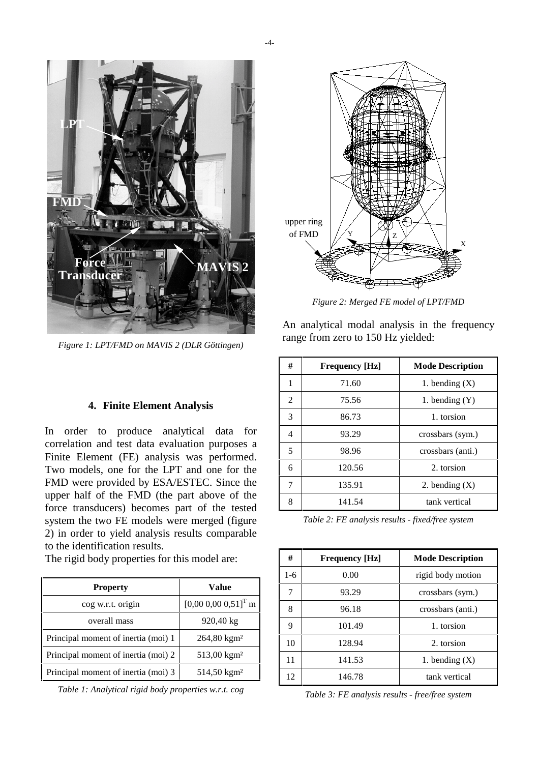

*Figure 1: LPT/FMD on MAVIS 2 (DLR Göttingen)*

### **4. Finite Element Analysis**

In order to produce analytical data for correlation and test data evaluation purposes a Finite Element (FE) analysis was performed. Two models, one for the LPT and one for the FMD were provided by ESA/ESTEC. Since the upper half of the FMD (the part above of the force transducers) becomes part of the tested system the two FE models were merged (figure 2) in order to yield analysis results comparable to the identification results.

The rigid body properties for this model are:

| <b>Property</b>                     | Value                               |  |  |
|-------------------------------------|-------------------------------------|--|--|
| cog w.r.t. origin                   | $[0,00\ 0,00\ 0,51]$ <sup>T</sup> m |  |  |
| overall mass                        | 920,40 kg                           |  |  |
| Principal moment of inertia (moi) 1 | $264,80$ kgm <sup>2</sup>           |  |  |
| Principal moment of inertia (moi) 2 | $513,00 \text{ kg}$ m <sup>2</sup>  |  |  |
| Principal moment of inertia (moi) 3 | 514,50 kgm <sup>2</sup>             |  |  |

*Table 1: Analytical rigid body properties w.r.t. cog*



*Figure 2: Merged FE model of LPT/FMD*

An analytical modal analysis in the frequency range from zero to 150 Hz yielded:

| #              | <b>Frequency</b> [Hz] | <b>Mode Description</b> |  |
|----------------|-----------------------|-------------------------|--|
| 1              | 71.60                 | 1. bending $(X)$        |  |
| $\mathfrak{D}$ | 75.56                 | 1. bending $(Y)$        |  |
| 3              | 86.73                 | 1. torsion              |  |
| 4              | 93.29                 | crossbars (sym.)        |  |
| 5              | 98.96                 | crossbars (anti.)       |  |
| 6              | 120.56                | 2. torsion              |  |
|                | 135.91                | 2. bending $(X)$        |  |
| 8              | 141.54                | tank vertical           |  |

*Table 2: FE analysis results - fixed/free system*

| #     | <b>Frequency</b> [Hz]     | <b>Mode Description</b> |  |
|-------|---------------------------|-------------------------|--|
| $1-6$ | 0.00                      | rigid body motion       |  |
|       | 93.29<br>crossbars (sym.) |                         |  |
| 8     | 96.18                     | crossbars (anti.)       |  |
| 9     | 101.49                    | 1. torsion              |  |
| 10    | 128.94                    | 2. torsion              |  |
| 11    | 141.53                    | 1. bending $(X)$        |  |
| 12    | 146.78                    | tank vertical           |  |

*Table 3: FE analysis results - free/free system*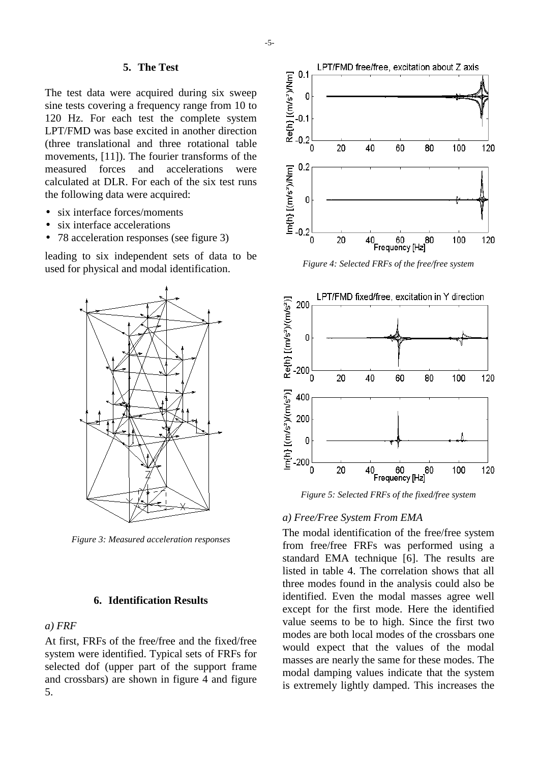#### **5. The Test**

The test data were acquired during six sweep sine tests covering a frequency range from 10 to 120 Hz. For each test the complete system LPT/FMD was base excited in another direction (three translational and three rotational table movements, [11]). The fourier transforms of the measured forces and accelerations were calculated at DLR. For each of the six test runs the following data were acquired:

- six interface forces/moments
- six interface accelerations
- 78 acceleration responses (see figure 3)

leading to six independent sets of data to be used for physical and modal identification.



*Figure 3: Measured acceleration responses*

#### **6. Identification Results**

#### *a) FRF*

At first, FRFs of the free/free and the fixed/free system were identified. Typical sets of FRFs for selected dof (upper part of the support frame and crossbars) are shown in figure 4 and figure 5.



*Figure 4: Selected FRFs of the free/free system*



*Figure 5: Selected FRFs of the fixed/free system*

### *a) Free/Free System From EMA*

The modal identification of the free/free system from free/free FRFs was performed using a standard EMA technique [6]. The results are listed in table 4. The correlation shows that all three modes found in the analysis could also be identified. Even the modal masses agree well except for the first mode. Here the identified value seems to be to high. Since the first two modes are both local modes of the crossbars one would expect that the values of the modal masses are nearly the same for these modes. The modal damping values indicate that the system is extremely lightly damped. This increases the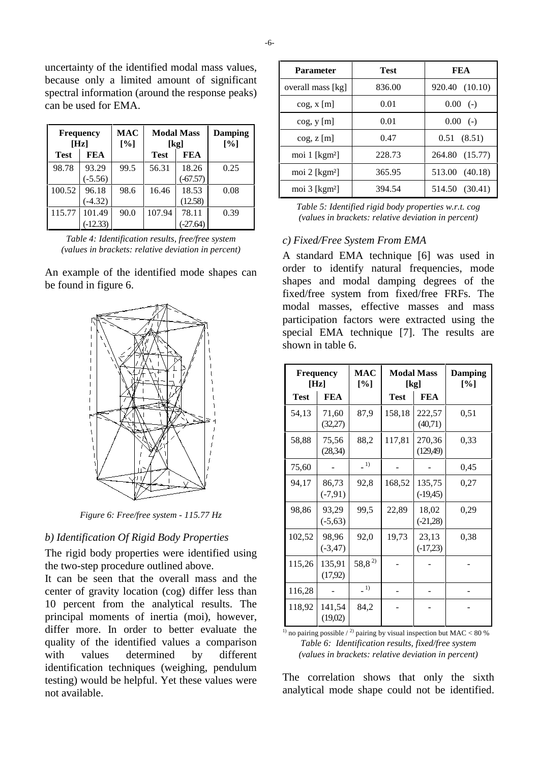uncertainty of the identified modal mass values, because only a limited amount of significant spectral information (around the response peaks) can be used for EMA.

|             | <b>Frequency</b><br>[Hz] | <b>MAC</b><br>[%] | <b>Modal Mass</b><br>[kg] |          | Damping<br>[%] |
|-------------|--------------------------|-------------------|---------------------------|----------|----------------|
| <b>Test</b> | <b>FEA</b>               |                   | FEA<br><b>Test</b>        |          |                |
| 98.78       | 93.29                    | 99.5              | 56.31                     | 18.26    | 0.25           |
|             | $(-5.56)$                |                   | $(-67.57)$                |          |                |
| 100.52      | 96.18                    | 98.6              | 16.46                     | 18.53    | 0.08           |
|             | $(-4.32)$                |                   | (12.58)                   |          |                |
| 115.77      | 101.49                   | 90.0              | 78.11<br>107.94           |          | 0.39           |
|             | $(-12.33)$               |                   |                           | $-27.64$ |                |

*Table 4: Identification results, free/free system (values in brackets: relative deviation in percent)*

An example of the identified mode shapes can be found in figure 6.



*Figure 6: Free/free system - 115.77 Hz*

# *b) Identification Of Rigid Body Properties*

The rigid body properties were identified using the two-step procedure outlined above.

It can be seen that the overall mass and the center of gravity location (cog) differ less than 10 percent from the analytical results. The principal moments of inertia (moi), however, differ more. In order to better evaluate the quality of the identified values a comparison with values determined by different identification techniques (weighing, pendulum testing) would be helpful. Yet these values were not available.

| <b>Parameter</b>            | <b>Test</b> | FEA            |  |  |
|-----------------------------|-------------|----------------|--|--|
| overall mass [kg]           | 836.00      | 920.40 (10.10) |  |  |
| $\cos x$ [m]                | 0.01        | $0.00$ (-)     |  |  |
| $\cos$ , $y$ [m]            | 0.01        | $0.00$ (-)     |  |  |
| $\cos$ , z [m]              | 0.47        | 0.51(8.51)     |  |  |
| moi $1$ [ $kgm2$ ]          | 228.73      | 264.80 (15.77) |  |  |
| moi $2$ [ $kgm2$ ]          | 365.95      | 513.00 (40.18) |  |  |
| moi $3$ [kgm <sup>2</sup> ] | 394.54      | 514.50 (30.41) |  |  |

*Table 5: Identified rigid body properties w.r.t. cog (values in brackets: relative deviation in percent)*

## *c) Fixed/Free System From EMA*

A standard EMA technique [6] was used in order to identify natural frequencies, mode shapes and modal damping degrees of the fixed/free system from fixed/free FRFs. The modal masses, effective masses and mass participation factors were extracted using the special EMA technique [7]. The results are shown in table 6.

| <b>Frequency</b><br>[Hz] |                     | <b>MAC</b><br>$[\%]$                            | <b>Modal Mass</b><br>[kg] |                       | <b>Damping</b><br>[%] |
|--------------------------|---------------------|-------------------------------------------------|---------------------------|-----------------------|-----------------------|
| <b>Test</b>              | FEA                 |                                                 | <b>Test</b><br>FEA        |                       |                       |
| 54,13                    | 71,60<br>(32,27)    | 87,9                                            | 158,18                    | 222,57<br>(40,71)     | 0,51                  |
| 58,88                    | 75,56<br>(28, 34)   | 88,2                                            | 117,81                    | 270,36<br>(129,49)    | 0,33                  |
| 75,60                    |                     | $-1)$                                           |                           |                       | 0.45                  |
| 94,17                    | 86,73<br>$(-7,91)$  | 92,8                                            | 168,52                    | 135,75<br>$(-19, 45)$ | 0,27                  |
| 98,86                    | 93,29<br>$(-5,63)$  | 99,5                                            | 22,89                     | 18,02<br>$(-21,28)$   | 0,29                  |
| 102,52                   | 98,96<br>$(-3, 47)$ | 92,0                                            | 19,73                     | 23,13<br>$(-17,23)$   | 0,38                  |
| 115,26                   | 135,91<br>(17,92)   | $58,8^{2}$                                      |                           |                       |                       |
| 116,28                   |                     | $\left( \begin{array}{c} 1 \end{array} \right)$ |                           |                       |                       |
| 118,92                   | 141,54<br>(19,02)   | 84,2                                            |                           |                       |                       |

<sup>1)</sup> no pairing possible  $\binom{2}{2}$  pairing by visual inspection but MAC < 80 % *Table 6: Identification results, fixed/free system (values in brackets: relative deviation in percent)*

The correlation shows that only the sixth analytical mode shape could not be identified.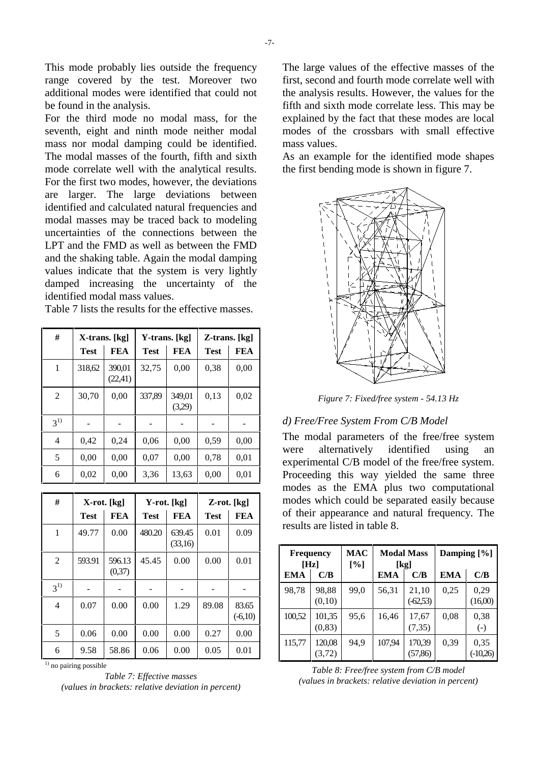This mode probably lies outside the frequency range covered by the test. Moreover two additional modes were identified that could not be found in the analysis.

For the third mode no modal mass, for the seventh, eight and ninth mode neither modal mass nor modal damping could be identified. The modal masses of the fourth, fifth and sixth mode correlate well with the analytical results. For the first two modes, however, the deviations are larger. The large deviations between identified and calculated natural frequencies and modal masses may be traced back to modeling uncertainties of the connections between the LPT and the FMD as well as between the FMD and the shaking table. Again the modal damping values indicate that the system is very lightly damped increasing the uncertainty of the identified modal mass values.

**# X-trans. [kg] Y-trans. [kg] Z-trans. [kg]**  $\text{Test}$  | FEA | Test | FEA | Test | FEA 1 318,62 390,01 (22,41)  $32,75$  0.00 0.38 0.00  $2 \begin{array}{|c|c|c|c|c|c|} \hline 30,70 & 0,00 & 337,89 & 349,01 \hline \end{array}$ (3,29)  $0.13 \quad 0.02$ 31) ------ 4 | 0,42 | 0,24 | 0,06 | 0,00 | 0,59 | 0,00  $5 \mid 0,00 \mid 0,00 \mid 0,07 \mid 0,00 \mid 0,78 \mid 0,01$ 6 | 0,02 | 0,00 | 3,36 | 13,63 | 0,00 | 0,01

Table 7 lists the results for the effective masses.

| #       | X-rot. [kg] |                  | Y-rot. [kg] |                   | Z-rot. [kg] |                    |
|---------|-------------|------------------|-------------|-------------------|-------------|--------------------|
|         | <b>Test</b> | FEA              | <b>Test</b> | <b>FEA</b>        | <b>Test</b> | FEA                |
| 1       | 49.77       | 0.00             | 480.20      | 639.45<br>(33,16) | 0.01        | 0.09               |
| 2       | 593.91      | 596.13<br>(0,37) | 45.45       | 0.00              | 0.00        | 0.01               |
| $3^{1}$ |             |                  |             |                   |             |                    |
| 4       | 0.07        | 0.00             | 0.00        | 1.29              | 89.08       | 83.65<br>$(-6,10)$ |
| 5       | 0.06        | 0.00             | 0.00        | 0.00              | 0.27        | 0.00               |
| 6       | 9.58        | 58.86            | 0.06        | 0.00              | 0.05        | 0.01               |

<sup>1)</sup> no pairing possible

*Table 7: Effective masses (values in brackets: relative deviation in percent)* The large values of the effective masses of the first, second and fourth mode correlate well with the analysis results. However, the values for the fifth and sixth mode correlate less. This may be explained by the fact that these modes are local modes of the crossbars with small effective mass values.

As an example for the identified mode shapes the first bending mode is shown in figure 7.



*Figure 7: Fixed/free system - 54.13 Hz*

## *d) Free/Free System From C/B Model*

The modal parameters of the free/free system were alternatively identified using an experimental C/B model of the free/free system. Proceeding this way yielded the same three modes as the EMA plus two computational modes which could be separated easily because of their appearance and natural frequency. The results are listed in table 8.

| [Hz]       | <b>Frequency</b>  | MAC<br>[%] | <b>Modal Mass</b><br>[kg] |                      | Damping [%] |                           |
|------------|-------------------|------------|---------------------------|----------------------|-------------|---------------------------|
| <b>EMA</b> | C/B               |            | EMA                       | C/B                  | <b>EMA</b>  | C/B                       |
| 98,78      | 98,88<br>(0,10)   | 99,0       | 56,31                     | 21,10<br>$(-62, 53)$ | 0,25        | 0,29<br>(16,00)           |
| 100,52     | 101,35<br>(0, 83) | 95,6       | 16,46                     | 17,67<br>(7, 35)     | 0,08        | 0,38<br>$\left( -\right)$ |
| 115,77     | 120,08<br>(3,72)  | 94,9       | 107.94                    | 170,39<br>(57, 86)   | 0,39        | 0,35<br>(-10,26)          |

*Table 8: Free/free system from C/B model (values in brackets: relative deviation in percent)*